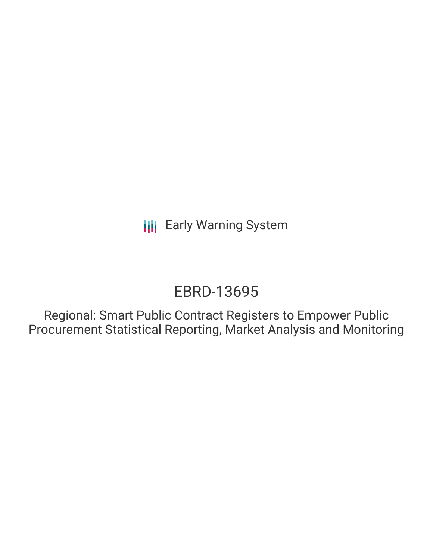**III** Early Warning System

# EBRD-13695

Regional: Smart Public Contract Registers to Empower Public Procurement Statistical Reporting, Market Analysis and Monitoring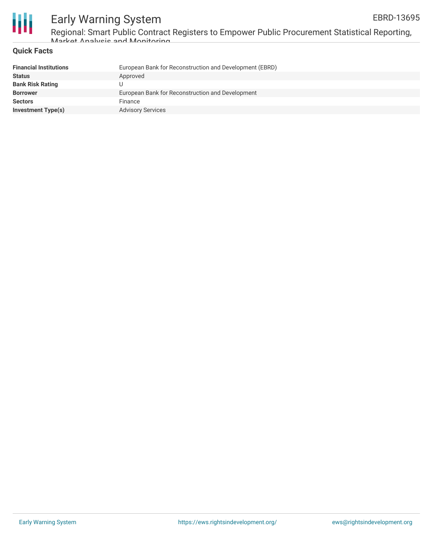



# Early Warning System Regional: Smart Public Contract Registers to Empower Public Procurement Statistical Reporting,

### **Quick Facts** Market Analysis and Monitoring

| <b>Financial Institutions</b> | European Bank for Reconstruction and Development (EBRD) |
|-------------------------------|---------------------------------------------------------|
| <b>Status</b>                 | Approved                                                |
| <b>Bank Risk Rating</b>       |                                                         |
| <b>Borrower</b>               | European Bank for Reconstruction and Development        |
| <b>Sectors</b>                | Finance                                                 |
| <b>Investment Type(s)</b>     | <b>Advisory Services</b>                                |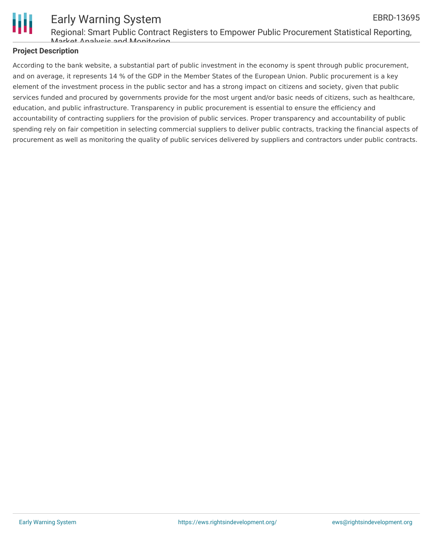

#### Early Warning System Regional: Smart Public Contract Registers to Empower Public Procurement Statistical Reporting, EBRD-13695

## Market Analysis and Monitoring

### **Project Description**

According to the bank website, a substantial part of public investment in the economy is spent through public procurement, and on average, it represents 14 % of the GDP in the Member States of the European Union. Public procurement is a key element of the investment process in the public sector and has a strong impact on citizens and society, given that public services funded and procured by governments provide for the most urgent and/or basic needs of citizens, such as healthcare, education, and public infrastructure. Transparency in public procurement is essential to ensure the efficiency and accountability of contracting suppliers for the provision of public services. Proper transparency and accountability of public spending rely on fair competition in selecting commercial suppliers to deliver public contracts, tracking the financial aspects of procurement as well as monitoring the quality of public services delivered by suppliers and contractors under public contracts.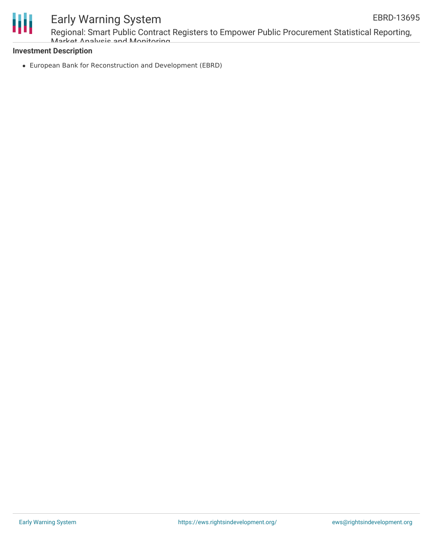

# Early Warning System

Regional: Smart Public Contract Registers to Empower Public Procurement Statistical Reporting, Market Analysis and Monitoring

### **Investment Description**

European Bank for Reconstruction and Development (EBRD)